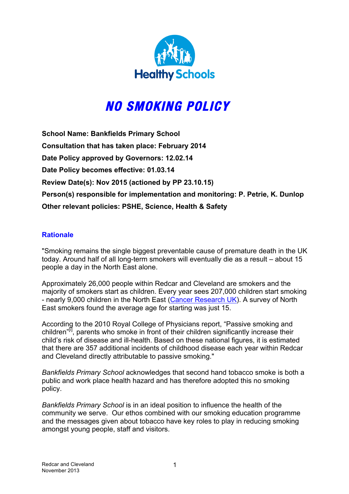

# **NO SMOKING POLICY**

**School Name: Bankfields Primary School Consultation that has taken place: February 2014 Date Policy approved by Governors: 12.02.14 Date Policy becomes effective: 01.03.14 Review Date(s): Nov 2015 (actioned by PP 23.10.15) Person(s) responsible for implementation and monitoring: P. Petrie, K. Dunlop Other relevant policies: PSHE, Science, Health & Safety**

### **Rationale**

"Smoking remains the single biggest preventable cause of premature death in the UK today. Around half of all long-term smokers will eventually die as a result – about 15 people a day in the North East alone.

Approximately 26,000 people within Redcar and Cleveland are smokers and the majority of smokers start as children. Every year sees 207,000 children start smoking - nearly 9,000 children in the North East (Cancer Research UK). A survey of North East smokers found the average age for starting was just 15.

According to the 2010 Royal College of Physicians report, "Passive smoking and children $\sqrt[n]{i}$ , parents who smoke in front of their children significantly increase their child's risk of disease and ill-health. Based on these national figures, it is estimated that there are 357 additional incidents of childhood disease each year within Redcar and Cleveland directly attributable to passive smoking."

*Bankfields Primary School* acknowledges that second hand tobacco smoke is both a public and work place health hazard and has therefore adopted this no smoking policy.

*Bankfields Primary School* is in an ideal position to influence the health of the community we serve. Our ethos combined with our smoking education programme and the messages given about tobacco have key roles to play in reducing smoking amongst young people, staff and visitors.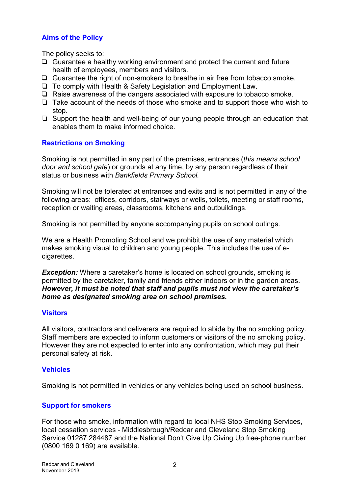## **Aims of the Policy**

The policy seeks to:

- ❏ Guarantee a healthy working environment and protect the current and future health of employees, members and visitors.
- ❏ Guarantee the right of non-smokers to breathe in air free from tobacco smoke.
- ❏ To comply with Health & Safety Legislation and Employment Law.
- ❏ Raise awareness of the dangers associated with exposure to tobacco smoke.
- ❏ Take account of the needs of those who smoke and to support those who wish to stop.
- ❏ Support the health and well-being of our young people through an education that enables them to make informed choice.

### **Restrictions on Smoking**

Smoking is not permitted in any part of the premises, entrances (*this means school door and school gate*) or grounds at any time, by any person regardless of their status or business with *Bankfields Primary School.*

Smoking will not be tolerated at entrances and exits and is not permitted in any of the following areas: offices, corridors, stairways or wells, toilets, meeting or staff rooms, reception or waiting areas, classrooms, kitchens and outbuildings.

Smoking is not permitted by anyone accompanying pupils on school outings.

We are a Health Promoting School and we prohibit the use of any material which makes smoking visual to children and young people. This includes the use of ecigarettes.

**Exception:** Where a caretaker's home is located on school grounds, smoking is permitted by the caretaker, family and friends either indoors or in the garden areas. *However, it must be noted that staff and pupils must not view the caretaker's home as designated smoking area on school premises.*

### **Visitors**

All visitors, contractors and deliverers are required to abide by the no smoking policy. Staff members are expected to inform customers or visitors of the no smoking policy. However they are not expected to enter into any confrontation, which may put their personal safety at risk.

### **Vehicles**

Smoking is not permitted in vehicles or any vehicles being used on school business.

### **Support for smokers**

For those who smoke, information with regard to local NHS Stop Smoking Services, local cessation services - Middlesbrough/Redcar and Cleveland Stop Smoking Service 01287 284487 and the National Don't Give Up Giving Up free-phone number (0800 169 0 169) are available.